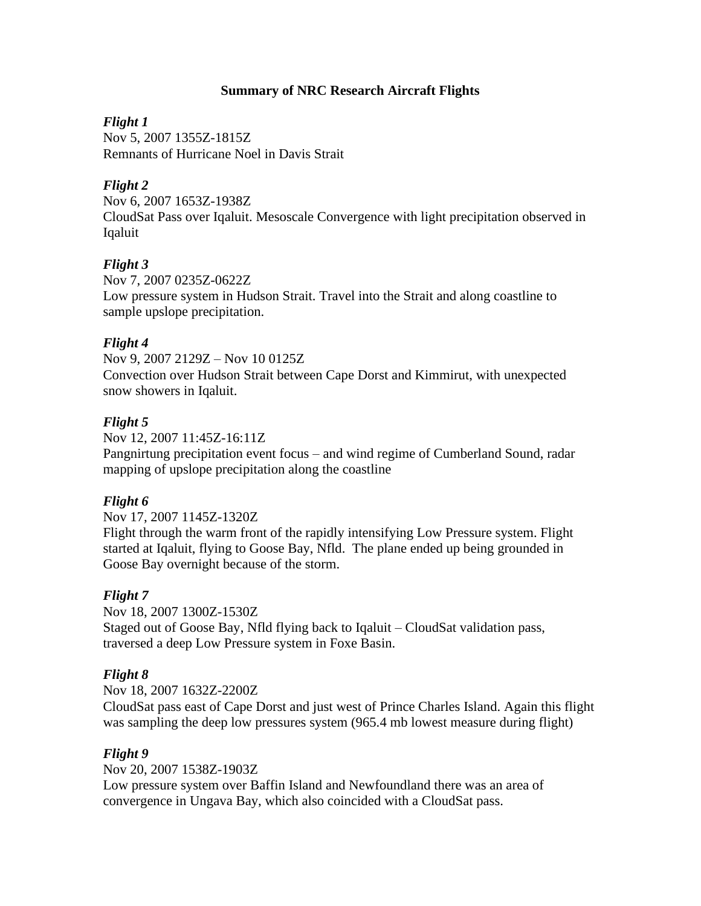## **Summary of NRC Research Aircraft Flights**

## *Flight 1*

Nov 5, 2007 1355Z-1815Z Remnants of Hurricane Noel in Davis Strait

## *Flight 2*

Nov 6, 2007 1653Z-1938Z CloudSat Pass over Iqaluit. Mesoscale Convergence with light precipitation observed in Iqaluit

## *Flight 3*

Nov 7, 2007 0235Z-0622Z Low pressure system in Hudson Strait. Travel into the Strait and along coastline to sample upslope precipitation.

#### *Flight 4*

Nov 9, 2007 2129Z – Nov 10 0125Z Convection over Hudson Strait between Cape Dorst and Kimmirut, with unexpected snow showers in Iqaluit.

## *Flight 5*

Nov 12, 2007 11:45Z-16:11Z Pangnirtung precipitation event focus – and wind regime of Cumberland Sound, radar mapping of upslope precipitation along the coastline

# *Flight 6*

Nov 17, 2007 1145Z-1320Z

Flight through the warm front of the rapidly intensifying Low Pressure system. Flight started at Iqaluit, flying to Goose Bay, Nfld. The plane ended up being grounded in Goose Bay overnight because of the storm.

# *Flight 7*

Nov 18, 2007 1300Z-1530Z Staged out of Goose Bay, Nfld flying back to Iqaluit – CloudSat validation pass, traversed a deep Low Pressure system in Foxe Basin.

#### *Flight 8*

Nov 18, 2007 1632Z-2200Z

CloudSat pass east of Cape Dorst and just west of Prince Charles Island. Again this flight was sampling the deep low pressures system (965.4 mb lowest measure during flight)

#### *Flight 9*

Nov 20, 2007 1538Z-1903Z

Low pressure system over Baffin Island and Newfoundland there was an area of convergence in Ungava Bay, which also coincided with a CloudSat pass.